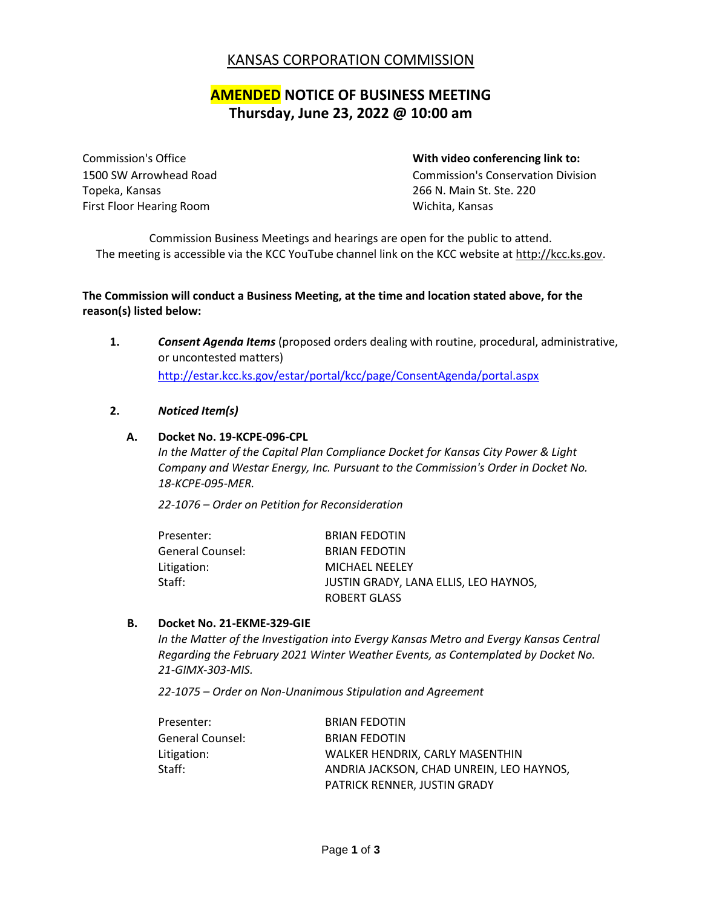## KANSAS CORPORATION COMMISSION

# **AMENDED NOTICE OF BUSINESS MEETING Thursday, June 23, 2022 @ 10:00 am**

Topeka, Kansas 266 N. Main St. Ste. 220 First Floor Hearing Room November 2012 1991 Wichita, Kansas

#### Commission's Office **With video conferencing link to:**

1500 SW Arrowhead Road Commission's Conservation Division

Commission Business Meetings and hearings are open for the public to attend. The meeting is accessible via the KCC YouTube channel link on the KCC website at [http://kcc.ks.gov.](http://kcc.ks.gov/)

## **The Commission will conduct a Business Meeting, at the time and location stated above, for the reason(s) listed below:**

**1.** *Consent Agenda Items* (proposed orders dealing with routine, procedural, administrative, or uncontested matters) <http://estar.kcc.ks.gov/estar/portal/kcc/page/ConsentAgenda/portal.aspx>

#### **2.** *Noticed Item(s)*

#### **A. Docket No. 19-KCPE-096-CPL**

*In the Matter of the Capital Plan Compliance Docket for Kansas City Power & Light Company and Westar Energy, Inc. Pursuant to the Commission's Order in Docket No. 18-KCPE-095-MER.*

*22-1076 – Order on Petition for Reconsideration*

| Presenter:       | <b>BRIAN FEDOTIN</b>                  |
|------------------|---------------------------------------|
| General Counsel: | <b>BRIAN FEDOTIN</b>                  |
| Litigation:      | <b>MICHAEL NEELEY</b>                 |
| Staff:           | JUSTIN GRADY, LANA ELLIS, LEO HAYNOS, |
|                  | ROBERT GLASS                          |

#### **B. Docket No. 21-EKME-329-GIE**

*In the Matter of the Investigation into Evergy Kansas Metro and Evergy Kansas Central Regarding the February 2021 Winter Weather Events, as Contemplated by Docket No. 21-GIMX-303-MIS.*

*22-1075 – Order on Non-Unanimous Stipulation and Agreement*

| Presenter:       | <b>BRIAN FEDOTIN</b>                     |
|------------------|------------------------------------------|
| General Counsel: | <b>BRIAN FEDOTIN</b>                     |
| Litigation:      | WALKER HENDRIX, CARLY MASENTHIN          |
| Staff:           | ANDRIA JACKSON, CHAD UNREIN, LEO HAYNOS, |
|                  | <b>PATRICK RENNER. JUSTIN GRADY</b>      |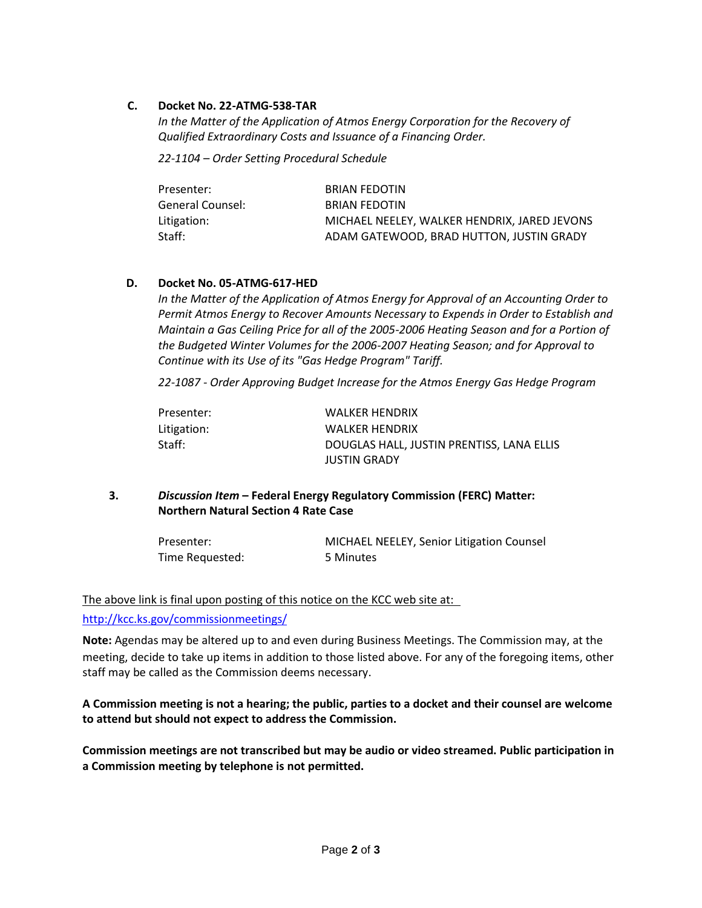## **C. Docket No. 22-ATMG-538-TAR**

*In the Matter of the Application of Atmos Energy Corporation for the Recovery of Qualified Extraordinary Costs and Issuance of a Financing Order.*

*22-1104 – Order Setting Procedural Schedule*

| Presenter:       | <b>BRIAN FEDOTIN</b>                         |
|------------------|----------------------------------------------|
| General Counsel: | <b>BRIAN FEDOTIN</b>                         |
| Litigation:      | MICHAEL NEELEY. WALKER HENDRIX. JARED JEVONS |
| Staff:           | ADAM GATEWOOD, BRAD HUTTON, JUSTIN GRADY     |

## **D. Docket No. 05-ATMG-617-HED**

*In the Matter of the Application of Atmos Energy for Approval of an Accounting Order to Permit Atmos Energy to Recover Amounts Necessary to Expends in Order to Establish and Maintain a Gas Ceiling Price for all of the 2005-2006 Heating Season and for a Portion of the Budgeted Winter Volumes for the 2006-2007 Heating Season; and for Approval to Continue with its Use of its "Gas Hedge Program" Tariff.*

*22-1087 - Order Approving Budget Increase for the Atmos Energy Gas Hedge Program*

| Presenter:  | WALKER HENDRIX                            |
|-------------|-------------------------------------------|
| Litigation: | <b>WALKER HENDRIX</b>                     |
| Staff:      | DOUGLAS HALL, JUSTIN PRENTISS, LANA ELLIS |
|             | <b>JUSTIN GRADY</b>                       |

**3.** *Discussion Item* **– Federal Energy Regulatory Commission (FERC) Matter: Northern Natural Section 4 Rate Case**

| Presenter:      | <b>MICHAEL NEELEY, Senior Litigation Counsel</b> |
|-----------------|--------------------------------------------------|
| Time Requested: | 5 Minutes                                        |

[The above link is final upon posting of this notice on the KCC web site at:](http://kcc.ks.gov/commissionmeetings/) 

#### <http://kcc.ks.gov/commissionmeetings/>

**Note:** Agendas may be altered up to and even during Business Meetings. The Commission may, at the meeting, decide to take up items in addition to those listed above. For any of the foregoing items, other staff may be called as the Commission deems necessary.

**A Commission meeting is not a hearing; the public, parties to a docket and their counsel are welcome to attend but should not expect to address the Commission.** 

**Commission meetings are not transcribed but may be audio or video streamed. Public participation in a Commission meeting by telephone is not permitted.**